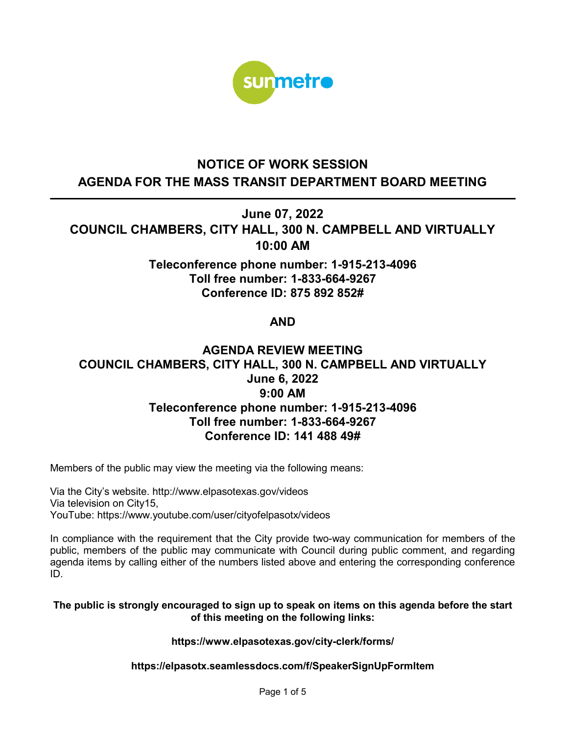

# **NOTICE OF WORK SESSION AGENDA FOR THE MASS TRANSIT DEPARTMENT BOARD MEETING**

**June 07, 2022**

**COUNCIL CHAMBERS, CITY HALL, 300 N. CAMPBELL AND VIRTUALLY 10:00 AM**

> **Teleconference phone number: 1-915-213-4096 Toll free number: 1-833-664-9267 Conference ID: 875 892 852#**

# **AND**

# **AGENDA REVIEW MEETING COUNCIL CHAMBERS, CITY HALL, 300 N. CAMPBELL AND VIRTUALLY June 6, 2022 9:00 AM Teleconference phone number: 1-915-213-4096 Toll free number: 1-833-664-9267 Conference ID: 141 488 49#**

Members of the public may view the meeting via the following means:

Via the City's website. http://www.elpasotexas.gov/videos Via television on City15, YouTube: https://www.youtube.com/user/cityofelpasotx/videos

In compliance with the requirement that the City provide two-way communication for members of the public, members of the public may communicate with Council during public comment, and regarding agenda items by calling either of the numbers listed above and entering the corresponding conference ID.

#### **The public is strongly encouraged to sign up to speak on items on this agenda before the start of this meeting on the following links:**

#### **https://www.elpasotexas.gov/city-clerk/forms/**

### **https://elpasotx.seamlessdocs.com/f/SpeakerSignUpFormItem**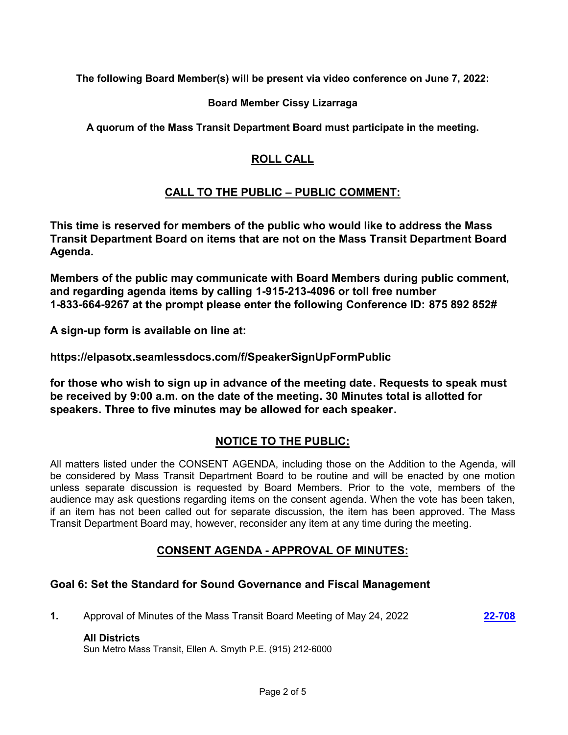**The following Board Member(s) will be present via video conference on June 7, 2022:**

### **Board Member Cissy Lizarraga**

**A quorum of the Mass Transit Department Board must participate in the meeting.**

# **ROLL CALL**

# **CALL TO THE PUBLIC – PUBLIC COMMENT:**

**This time is reserved for members of the public who would like to address the Mass Transit Department Board on items that are not on the Mass Transit Department Board Agenda.**

**Members of the public may communicate with Board Members during public comment, and regarding agenda items by calling 1-915-213-4096 or toll free number 1-833-664-9267 at the prompt please enter the following Conference ID: 875 892 852#**

**A sign-up form is available on line at:**

**https://elpasotx.seamlessdocs.com/f/SpeakerSignUpFormPublic**

**for those who wish to sign up in advance of the meeting date. Requests to speak must be received by 9:00 a.m. on the date of the meeting. 30 Minutes total is allotted for speakers. Three to five minutes may be allowed for each speaker.**

# **NOTICE TO THE PUBLIC:**

All matters listed under the CONSENT AGENDA, including those on the Addition to the Agenda, will be considered by Mass Transit Department Board to be routine and will be enacted by one motion unless separate discussion is requested by Board Members. Prior to the vote, members of the audience may ask questions regarding items on the consent agenda. When the vote has been taken, if an item has not been called out for separate discussion, the item has been approved. The Mass Transit Department Board may, however, reconsider any item at any time during the meeting.

# **CONSENT AGENDA - APPROVAL OF MINUTES:**

# **Goal 6: Set the Standard for Sound Governance and Fiscal Management**

**1.** Approval of Minutes of the Mass Transit Board Meeting of May 24, 2022 **[22-708](http://elpasotexas.legistar.com/gateway.aspx?m=l&id=/matter.aspx?key=7171)** 

#### **All Districts**

Sun Metro Mass Transit, Ellen A. Smyth P.E. (915) 212-6000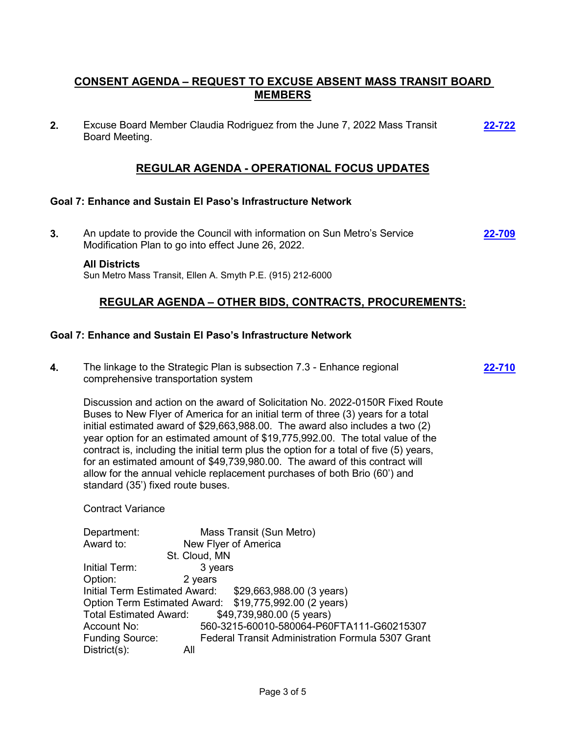# **CONSENT AGENDA – REQUEST TO EXCUSE ABSENT MASS TRANSIT BOARD MEMBERS**

**2.** Excuse Board Member Claudia Rodriguez from the June 7, 2022 Mass Transit Board Meeting. **[22-722](http://elpasotexas.legistar.com/gateway.aspx?m=l&id=/matter.aspx?key=7185)**

### **REGULAR AGENDA - OPERATIONAL FOCUS UPDATES**

#### **Goal 7: Enhance and Sustain El Paso's Infrastructure Network**

**3.** An update to provide the Council with information on Sun Metro's Service Modification Plan to go into effect June 26, 2022. **[22-709](http://elpasotexas.legistar.com/gateway.aspx?m=l&id=/matter.aspx?key=7172)**

#### **All Districts**

Sun Metro Mass Transit, Ellen A. Smyth P.E. (915) 212-6000

### **REGULAR AGENDA – OTHER BIDS, CONTRACTS, PROCUREMENTS:**

**[22-710](http://elpasotexas.legistar.com/gateway.aspx?m=l&id=/matter.aspx?key=7173)**

#### **Goal 7: Enhance and Sustain El Paso's Infrastructure Network**

**4.** The linkage to the Strategic Plan is subsection 7.3 - Enhance regional comprehensive transportation system

Discussion and action on the award of Solicitation No. 2022-0150R Fixed Route Buses to New Flyer of America for an initial term of three (3) years for a total initial estimated award of \$29,663,988.00. The award also includes a two (2) year option for an estimated amount of \$19,775,992.00. The total value of the contract is, including the initial term plus the option for a total of five (5) years, for an estimated amount of \$49,739,980.00. The award of this contract will allow for the annual vehicle replacement purchases of both Brio (60') and standard (35') fixed route buses.

Contract Variance

| Department:                   | Mass Transit (Sun Metro)                                 |
|-------------------------------|----------------------------------------------------------|
| Award to:                     | New Flyer of America                                     |
|                               | St. Cloud, MN                                            |
| Initial Term:                 | 3 years                                                  |
| Option:                       | 2 years                                                  |
| Initial Term Estimated Award: | \$29,663,988.00 (3 years)                                |
|                               | Option Term Estimated Award: \$19,775,992.00 (2 years)   |
| <b>Total Estimated Award:</b> | \$49,739,980.00 (5 years)                                |
| Account No:                   | 560-3215-60010-580064-P60FTA111-G60215307                |
| <b>Funding Source:</b>        | <b>Federal Transit Administration Formula 5307 Grant</b> |
| $District(s)$ :               | All                                                      |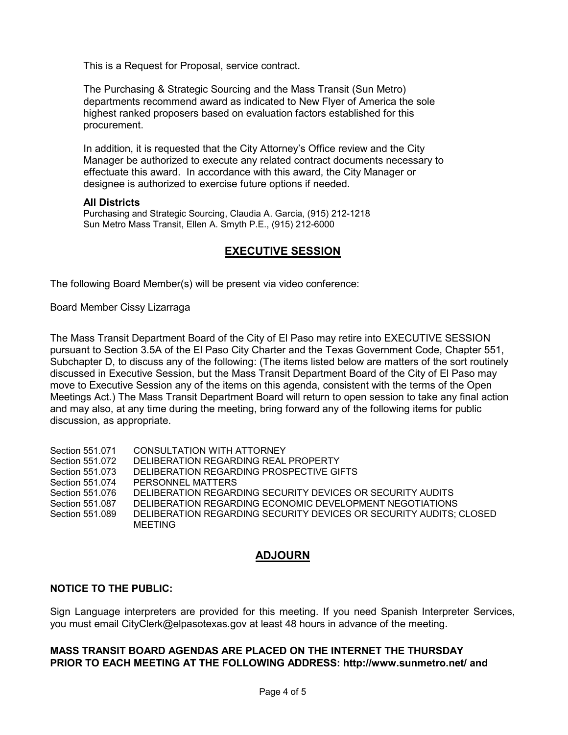This is a Request for Proposal, service contract.

The Purchasing & Strategic Sourcing and the Mass Transit (Sun Metro) departments recommend award as indicated to New Flyer of America the sole highest ranked proposers based on evaluation factors established for this procurement.

In addition, it is requested that the City Attorney's Office review and the City Manager be authorized to execute any related contract documents necessary to effectuate this award. In accordance with this award, the City Manager or designee is authorized to exercise future options if needed.

#### **All Districts**

Purchasing and Strategic Sourcing, Claudia A. Garcia, (915) 212-1218 Sun Metro Mass Transit, Ellen A. Smyth P.E., (915) 212-6000

### **EXECUTIVE SESSION**

The following Board Member(s) will be present via video conference:

Board Member Cissy Lizarraga

The Mass Transit Department Board of the City of El Paso may retire into EXECUTIVE SESSION pursuant to Section 3.5A of the El Paso City Charter and the Texas Government Code, Chapter 551, Subchapter D, to discuss any of the following: (The items listed below are matters of the sort routinely discussed in Executive Session, but the Mass Transit Department Board of the City of El Paso may move to Executive Session any of the items on this agenda, consistent with the terms of the Open Meetings Act.) The Mass Transit Department Board will return to open session to take any final action and may also, at any time during the meeting, bring forward any of the following items for public discussion, as appropriate.

Section 551.071 CONSULTATION WITH ATTORNEY Section 551.072 DELIBERATION REGARDING REAL PROPERTY Section 551.073 DELIBERATION REGARDING PROSPECTIVE GIFTS Section 551.074 PERSONNEL MATTERS Section 551.076 DELIBERATION REGARDING SECURITY DEVICES OR SECURITY AUDITS Section 551.087 DELIBERATION REGARDING ECONOMIC DEVELOPMENT NEGOTIATIONS Section 551.089 DELIBERATION REGARDING SECURITY DEVICES OR SECURITY AUDITS; CLOSED MEETING

# **ADJOURN**

#### **NOTICE TO THE PUBLIC:**

Sign Language interpreters are provided for this meeting. If you need Spanish Interpreter Services, you must email CityClerk@elpasotexas.gov at least 48 hours in advance of the meeting.

### **MASS TRANSIT BOARD AGENDAS ARE PLACED ON THE INTERNET THE THURSDAY PRIOR TO EACH MEETING AT THE FOLLOWING ADDRESS: http://www.sunmetro.net/ and**